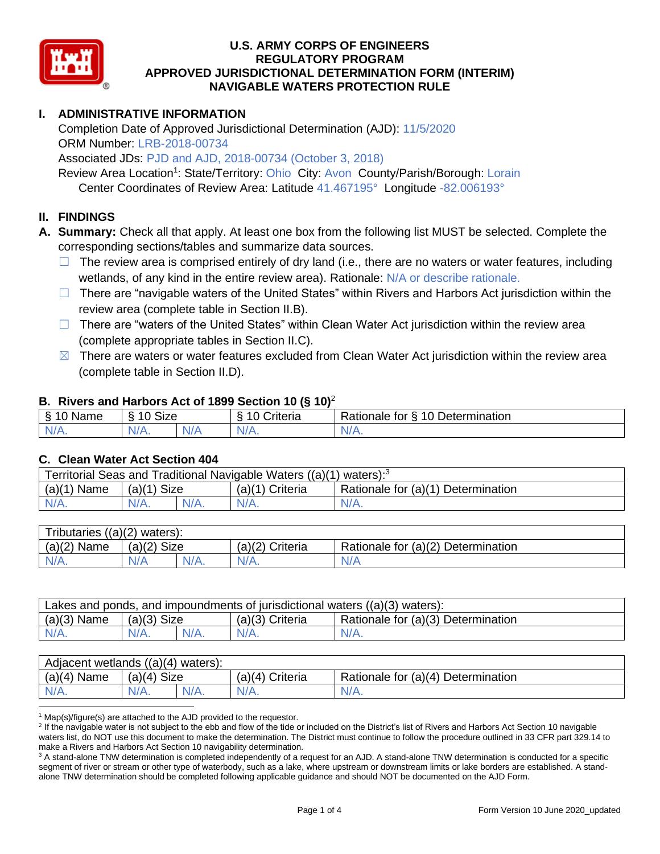

# **I. ADMINISTRATIVE INFORMATION**

Completion Date of Approved Jurisdictional Determination (AJD): 11/5/2020 ORM Number: LRB-2018-00734

Associated JDs: PJD and AJD, 2018-00734 (October 3, 2018)

Review Area Location<sup>1</sup>: State/Territory: Ohio City: Avon County/Parish/Borough: Lorain Center Coordinates of Review Area: Latitude 41.467195° Longitude -82.006193°

## **II. FINDINGS**

**A. Summary:** Check all that apply. At least one box from the following list MUST be selected. Complete the corresponding sections/tables and summarize data sources.

- $\Box$  The review area is comprised entirely of dry land (i.e., there are no waters or water features, including wetlands, of any kind in the entire review area). Rationale: N/A or describe rationale.
- $\Box$  There are "navigable waters of the United States" within Rivers and Harbors Act jurisdiction within the review area (complete table in Section II.B).
- $\Box$  There are "waters of the United States" within Clean Water Act jurisdiction within the review area (complete appropriate tables in Section II.C).
- $\boxtimes$  There are waters or water features excluded from Clean Water Act jurisdiction within the review area (complete table in Section II.D).

#### **B. Rivers and Harbors Act of 1899 Section 10 (§ 10)**<sup>2</sup>

| $\cdot$      |                                            |      |                            |                                      |  |  |  |  |
|--------------|--------------------------------------------|------|----------------------------|--------------------------------------|--|--|--|--|
| Name         | <b>Size</b><br>$\overline{A}$<br>C.<br>ιι. |      | . .<br>10<br>-<br>triteria | 10 Determination<br>tor<br>∺ationale |  |  |  |  |
| N/f<br>17 m. | N/A.                                       | NI / |                            | N/A.                                 |  |  |  |  |

#### **C. Clean Water Act Section 404**

| Territorial Seas and Traditional Navigable Waters $((a)(1)$ waters): <sup>3</sup> |                       |  |                 |                                    |  |  |  |
|-----------------------------------------------------------------------------------|-----------------------|--|-----------------|------------------------------------|--|--|--|
| (a)(1)<br>Name                                                                    | <b>Size</b><br>(a)(1) |  | (a)(1) Criteria | Rationale for (a)(1) Determination |  |  |  |
|                                                                                   | $N/A$ .               |  | $N/A$ .         | $N/A$ .                            |  |  |  |

| (a)(2)<br>waters):<br>l ributaries |                       |  |                    |                                          |  |  |  |  |
|------------------------------------|-----------------------|--|--------------------|------------------------------------------|--|--|--|--|
| (a)(2)<br>Name                     | (a)(2)<br><b>Size</b> |  | (a)(2)<br>Criteria | (a)(2)<br>Determination<br>Rationale for |  |  |  |  |
| N/A.                               | N/A<br>$N/A$ .        |  | $N/A$ .            | N/A                                      |  |  |  |  |

| Lakes and ponds, and impoundments of jurisdictional waters $((a)(3)$ waters): |               |  |                 |                                                 |  |  |  |
|-------------------------------------------------------------------------------|---------------|--|-----------------|-------------------------------------------------|--|--|--|
| $(a)(3)$ Name                                                                 | $(a)(3)$ Size |  | (a)(3) Criteria | <sup>1</sup> Rationale for (a)(3) Determination |  |  |  |
| $N/A$ .                                                                       |               |  |                 | $N/A$ .                                         |  |  |  |

| Adjacent wetlands ((a)(4) waters): |                 |  |                    |                                                      |  |  |  |
|------------------------------------|-----------------|--|--------------------|------------------------------------------------------|--|--|--|
| (a)(4)<br>Name                     | Size<br>(a)(4)  |  | Criteria<br>(a)(4) | Rationale for $(a)(4)$<br><sup>1</sup> Determination |  |  |  |
| $N/A$ .                            | $N/A$ .<br>N/A. |  | N/A.               | N/A.                                                 |  |  |  |

 $1$  Map(s)/figure(s) are attached to the AJD provided to the requestor.

<sup>2</sup> If the navigable water is not subject to the ebb and flow of the tide or included on the District's list of Rivers and Harbors Act Section 10 navigable waters list, do NOT use this document to make the determination. The District must continue to follow the procedure outlined in 33 CFR part 329.14 to make a Rivers and Harbors Act Section 10 navigability determination.

<sup>3</sup> A stand-alone TNW determination is completed independently of a request for an AJD. A stand-alone TNW determination is conducted for a specific segment of river or stream or other type of waterbody, such as a lake, where upstream or downstream limits or lake borders are established. A standalone TNW determination should be completed following applicable guidance and should NOT be documented on the AJD Form.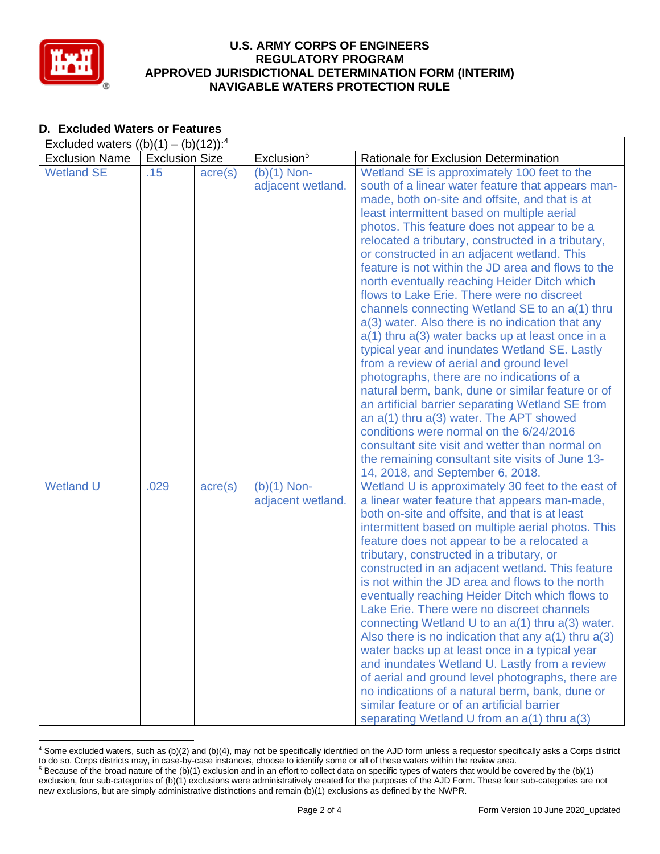

| Excluded waters $((b)(1) - (b)(12))$ : <sup>4</sup> |                       |                  |                                    |                                                                                                                                                                                                                                                                                                                                                                                                                                                                                                                                                                                                                                                                                                                                                                                                                                                                                                                                                                                                                                                                                                                                                                   |  |  |  |  |
|-----------------------------------------------------|-----------------------|------------------|------------------------------------|-------------------------------------------------------------------------------------------------------------------------------------------------------------------------------------------------------------------------------------------------------------------------------------------------------------------------------------------------------------------------------------------------------------------------------------------------------------------------------------------------------------------------------------------------------------------------------------------------------------------------------------------------------------------------------------------------------------------------------------------------------------------------------------------------------------------------------------------------------------------------------------------------------------------------------------------------------------------------------------------------------------------------------------------------------------------------------------------------------------------------------------------------------------------|--|--|--|--|
| <b>Exclusion Name</b>                               | <b>Exclusion Size</b> |                  | Exclusion <sup>5</sup>             | Rationale for Exclusion Determination                                                                                                                                                                                                                                                                                                                                                                                                                                                                                                                                                                                                                                                                                                                                                                                                                                                                                                                                                                                                                                                                                                                             |  |  |  |  |
| <b>Wetland SE</b>                                   | .15                   | $\text{acre}(s)$ | $(b)(1)$ Non-<br>adjacent wetland. | Wetland SE is approximately 100 feet to the<br>south of a linear water feature that appears man-<br>made, both on-site and offsite, and that is at<br>least intermittent based on multiple aerial<br>photos. This feature does not appear to be a<br>relocated a tributary, constructed in a tributary,<br>or constructed in an adjacent wetland. This<br>feature is not within the JD area and flows to the<br>north eventually reaching Heider Ditch which<br>flows to Lake Erie. There were no discreet<br>channels connecting Wetland SE to an a(1) thru<br>a(3) water. Also there is no indication that any<br>$a(1)$ thru $a(3)$ water backs up at least once in a<br>typical year and inundates Wetland SE. Lastly<br>from a review of aerial and ground level<br>photographs, there are no indications of a<br>natural berm, bank, dune or similar feature or of<br>an artificial barrier separating Wetland SE from<br>an $a(1)$ thru $a(3)$ water. The APT showed<br>conditions were normal on the 6/24/2016<br>consultant site visit and wetter than normal on<br>the remaining consultant site visits of June 13-<br>14, 2018, and September 6, 2018. |  |  |  |  |
| <b>Wetland U</b>                                    | .029                  | $\text{acre}(s)$ | $(b)(1)$ Non-<br>adjacent wetland. | Wetland U is approximately 30 feet to the east of<br>a linear water feature that appears man-made,<br>both on-site and offsite, and that is at least<br>intermittent based on multiple aerial photos. This<br>feature does not appear to be a relocated a<br>tributary, constructed in a tributary, or<br>constructed in an adjacent wetland. This feature<br>is not within the JD area and flows to the north<br>eventually reaching Heider Ditch which flows to<br>Lake Erie. There were no discreet channels<br>connecting Wetland U to an $a(1)$ thru $a(3)$ water.<br>Also there is no indication that any $a(1)$ thru $a(3)$<br>water backs up at least once in a typical year<br>and inundates Wetland U. Lastly from a review<br>of aerial and ground level photographs, there are<br>no indications of a natural berm, bank, dune or<br>similar feature or of an artificial barrier<br>separating Wetland U from an a(1) thru a(3)                                                                                                                                                                                                                       |  |  |  |  |

# **D. Excluded Waters or Features**

<sup>4</sup> Some excluded waters, such as (b)(2) and (b)(4), may not be specifically identified on the AJD form unless a requestor specifically asks a Corps district to do so. Corps districts may, in case-by-case instances, choose to identify some or all of these waters within the review area.  $5$  Because of the broad nature of the (b)(1) exclusion and in an effort to collect data on specific types of waters that would be covered by the (b)(1)

exclusion, four sub-categories of (b)(1) exclusions were administratively created for the purposes of the AJD Form. These four sub-categories are not new exclusions, but are simply administrative distinctions and remain (b)(1) exclusions as defined by the NWPR.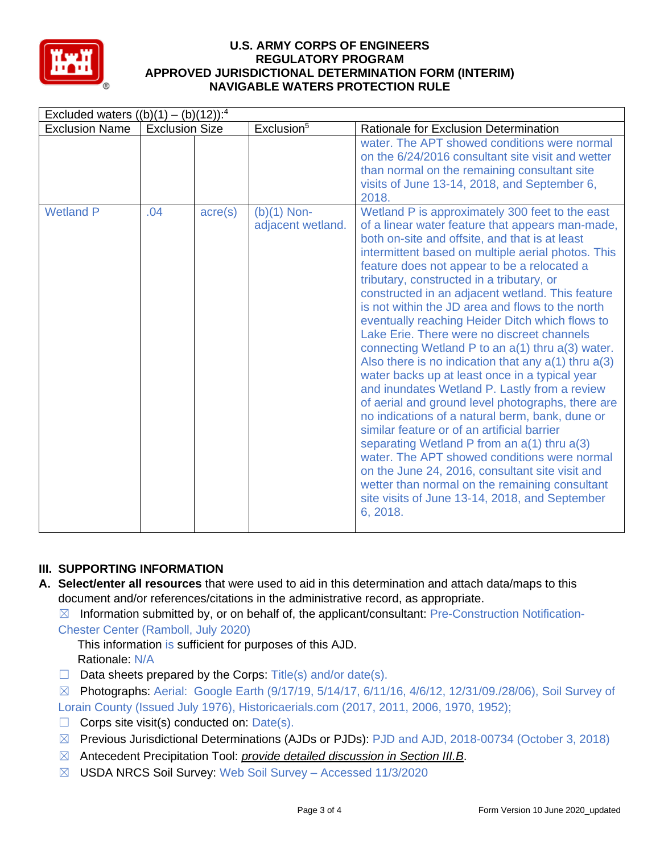

| Excluded waters $((b)(1) - (b)(12))$ : <sup>4</sup> |                       |                  |                                    |                                                                                                                                                                                                                                                                                                                                                                                                                                                                                                                                                                                                                                                                                                                                                                                                                                                                                                                                                                                                                                                                                                                                                             |  |  |  |
|-----------------------------------------------------|-----------------------|------------------|------------------------------------|-------------------------------------------------------------------------------------------------------------------------------------------------------------------------------------------------------------------------------------------------------------------------------------------------------------------------------------------------------------------------------------------------------------------------------------------------------------------------------------------------------------------------------------------------------------------------------------------------------------------------------------------------------------------------------------------------------------------------------------------------------------------------------------------------------------------------------------------------------------------------------------------------------------------------------------------------------------------------------------------------------------------------------------------------------------------------------------------------------------------------------------------------------------|--|--|--|
| <b>Exclusion Name</b>                               | <b>Exclusion Size</b> |                  | Exclusion <sup>5</sup>             | <b>Rationale for Exclusion Determination</b>                                                                                                                                                                                                                                                                                                                                                                                                                                                                                                                                                                                                                                                                                                                                                                                                                                                                                                                                                                                                                                                                                                                |  |  |  |
|                                                     |                       |                  |                                    | water. The APT showed conditions were normal<br>on the 6/24/2016 consultant site visit and wetter<br>than normal on the remaining consultant site<br>visits of June 13-14, 2018, and September 6,<br>2018.                                                                                                                                                                                                                                                                                                                                                                                                                                                                                                                                                                                                                                                                                                                                                                                                                                                                                                                                                  |  |  |  |
| <b>Wetland P</b>                                    | .04                   | $\text{acre}(s)$ | $(b)(1)$ Non-<br>adjacent wetland. | Wetland P is approximately 300 feet to the east<br>of a linear water feature that appears man-made,<br>both on-site and offsite, and that is at least<br>intermittent based on multiple aerial photos. This<br>feature does not appear to be a relocated a<br>tributary, constructed in a tributary, or<br>constructed in an adjacent wetland. This feature<br>is not within the JD area and flows to the north<br>eventually reaching Heider Ditch which flows to<br>Lake Erie. There were no discreet channels<br>connecting Wetland P to an a(1) thru a(3) water.<br>Also there is no indication that any $a(1)$ thru $a(3)$<br>water backs up at least once in a typical year<br>and inundates Wetland P. Lastly from a review<br>of aerial and ground level photographs, there are<br>no indications of a natural berm, bank, dune or<br>similar feature or of an artificial barrier<br>separating Wetland P from an a(1) thru a(3)<br>water. The APT showed conditions were normal<br>on the June 24, 2016, consultant site visit and<br>wetter than normal on the remaining consultant<br>site visits of June 13-14, 2018, and September<br>6, 2018. |  |  |  |

# **III. SUPPORTING INFORMATION**

**A. Select/enter all resources** that were used to aid in this determination and attach data/maps to this document and/or references/citations in the administrative record, as appropriate.

 $\boxtimes$  Information submitted by, or on behalf of, the applicant/consultant: Pre-Construction Notification-Chester Center (Ramboll, July 2020)

This information is sufficient for purposes of this AJD. Rationale: N/A

 $\Box$  Data sheets prepared by the Corps: Title(s) and/or date(s).

 $\boxtimes$  Photographs: Aerial: Google Earth (9/17/19, 5/14/17, 6/11/16, 4/6/12, 12/31/09./28/06), Soil Survey of Lorain County (Issued July 1976), Historicaerials.com (2017, 2011, 2006, 1970, 1952);

- $\Box$  Corps site visit(s) conducted on: Date(s).
- ☒ Previous Jurisdictional Determinations (AJDs or PJDs): PJD and AJD, 2018-00734 (October 3, 2018)
- ☒ Antecedent Precipitation Tool: *provide detailed discussion in Section III.B*.
- ☒ USDA NRCS Soil Survey: Web Soil Survey Accessed 11/3/2020